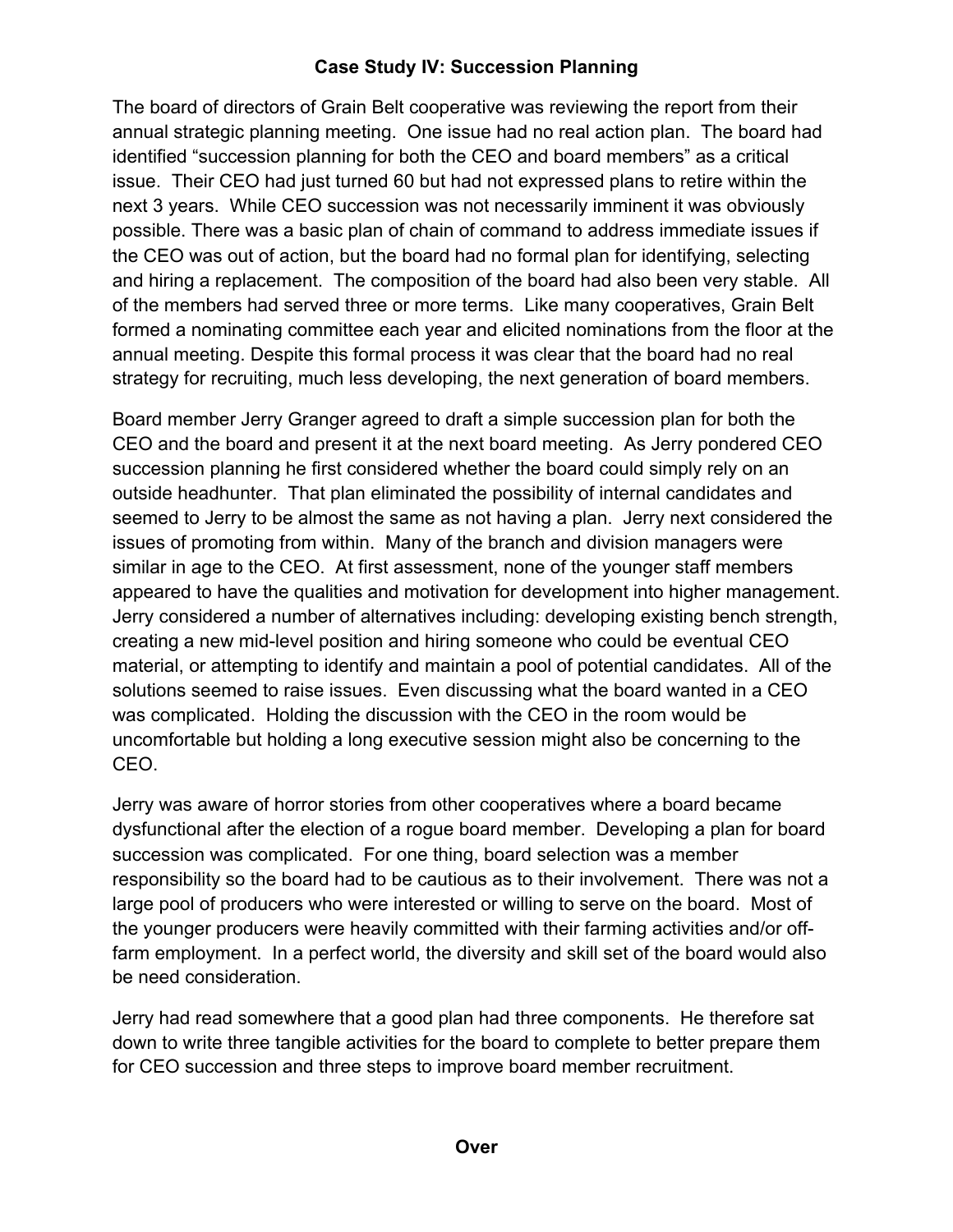## **Case Study IV: Succession Planning**

The board of directors of Grain Belt cooperative was reviewing the report from their annual strategic planning meeting. One issue had no real action plan. The board had identified "succession planning for both the CEO and board members" as a critical issue. Their CEO had just turned 60 but had not expressed plans to retire within the next 3 years. While CEO succession was not necessarily imminent it was obviously possible. There was a basic plan of chain of command to address immediate issues if the CEO was out of action, but the board had no formal plan for identifying, selecting and hiring a replacement. The composition of the board had also been very stable. All of the members had served three or more terms. Like many cooperatives, Grain Belt formed a nominating committee each year and elicited nominations from the floor at the annual meeting. Despite this formal process it was clear that the board had no real strategy for recruiting, much less developing, the next generation of board members.

Board member Jerry Granger agreed to draft a simple succession plan for both the CEO and the board and present it at the next board meeting. As Jerry pondered CEO succession planning he first considered whether the board could simply rely on an outside headhunter. That plan eliminated the possibility of internal candidates and seemed to Jerry to be almost the same as not having a plan. Jerry next considered the issues of promoting from within. Many of the branch and division managers were similar in age to the CEO. At first assessment, none of the younger staff members appeared to have the qualities and motivation for development into higher management. Jerry considered a number of alternatives including: developing existing bench strength, creating a new mid-level position and hiring someone who could be eventual CEO material, or attempting to identify and maintain a pool of potential candidates. All of the solutions seemed to raise issues. Even discussing what the board wanted in a CEO was complicated. Holding the discussion with the CEO in the room would be uncomfortable but holding a long executive session might also be concerning to the CEO.

Jerry was aware of horror stories from other cooperatives where a board became dysfunctional after the election of a rogue board member. Developing a plan for board succession was complicated. For one thing, board selection was a member responsibility so the board had to be cautious as to their involvement. There was not a large pool of producers who were interested or willing to serve on the board. Most of the younger producers were heavily committed with their farming activities and/or offfarm employment. In a perfect world, the diversity and skill set of the board would also be need consideration.

Jerry had read somewhere that a good plan had three components. He therefore sat down to write three tangible activities for the board to complete to better prepare them for CEO succession and three steps to improve board member recruitment.